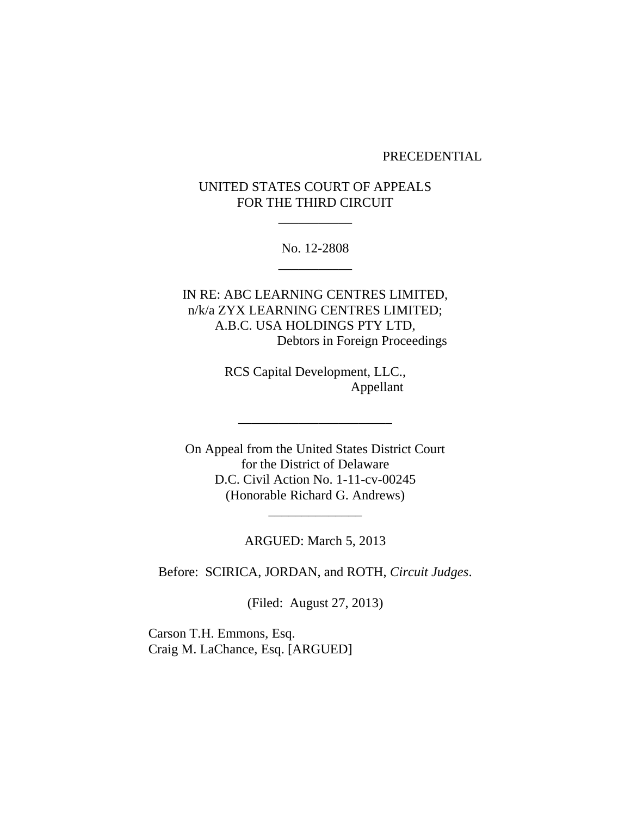#### PRECEDENTIAL

# UNITED STATES COURT OF APPEALS FOR THE THIRD CIRCUIT

\_\_\_\_\_\_\_\_\_\_\_

No. 12-2808 \_\_\_\_\_\_\_\_\_\_\_

IN RE: ABC LEARNING CENTRES LIMITED, n/k/a ZYX LEARNING CENTRES LIMITED; A.B.C. USA HOLDINGS PTY LTD, Debtors in Foreign Proceedings

> RCS Capital Development, LLC., Appellant

\_\_\_\_\_\_\_\_\_\_\_\_\_\_\_\_\_\_\_\_\_\_\_

On Appeal from the United States District Court for the District of Delaware D.C. Civil Action No. 1-11-cv-00245 (Honorable Richard G. Andrews)

ARGUED: March 5, 2013

\_\_\_\_\_\_\_\_\_\_\_\_\_\_

Before: SCIRICA, JORDAN, and ROTH, *Circuit Judges*.

(Filed: August 27, 2013)

Carson T.H. Emmons, Esq. Craig M. LaChance, Esq. [ARGUED]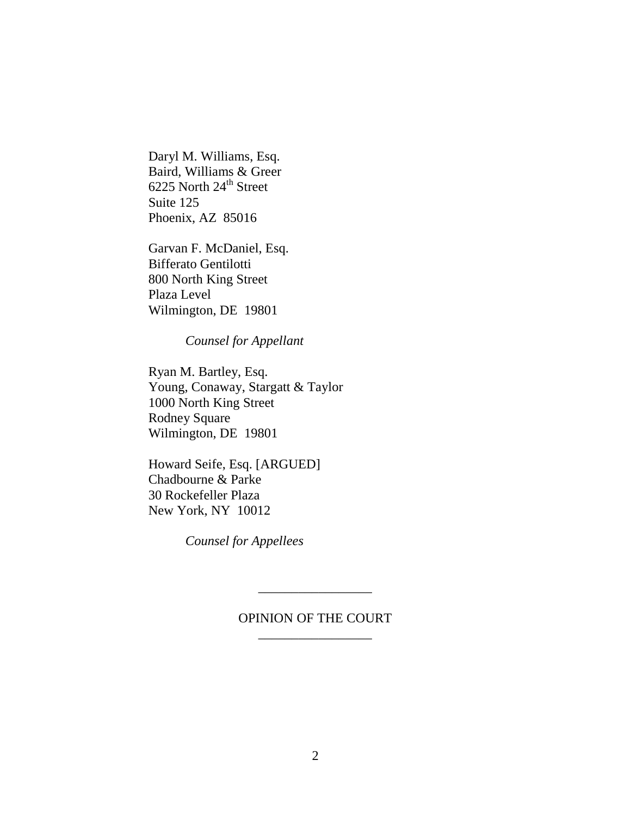Daryl M. Williams, Esq. Baird, Williams & Greer 6225 North 24<sup>th</sup> Street Suite 125 Phoenix, AZ 85016

Garvan F. McDaniel, Esq. Bifferato Gentilotti 800 North King Street Plaza Level Wilmington, DE 19801

*Counsel for Appellant* 

Ryan M. Bartley, Esq. Young, Conaway, Stargatt & Taylor 1000 North King Street Rodney Square Wilmington, DE 19801

Howard Seife, Esq. [ARGUED] Chadbourne & Parke 30 Rockefeller Plaza New York, NY 10012

*Counsel for Appellees*

# OPINION OF THE COURT \_\_\_\_\_\_\_\_\_\_\_\_\_\_\_\_\_

\_\_\_\_\_\_\_\_\_\_\_\_\_\_\_\_\_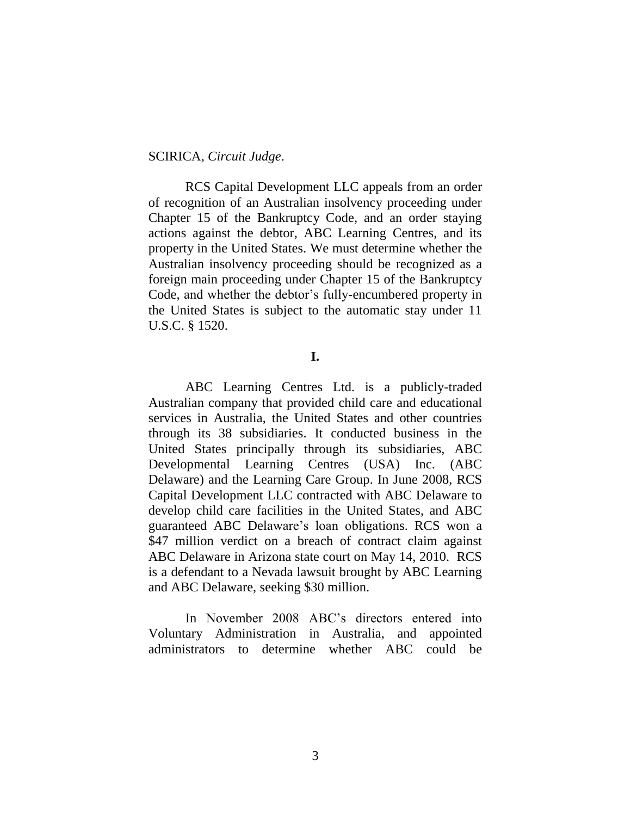#### SCIRICA, *Circuit Judge*.

RCS Capital Development LLC appeals from an order of recognition of an Australian insolvency proceeding under Chapter 15 of the Bankruptcy Code, and an order staying actions against the debtor, ABC Learning Centres, and its property in the United States. We must determine whether the Australian insolvency proceeding should be recognized as a foreign main proceeding under Chapter 15 of the Bankruptcy Code, and whether the debtor's fully-encumbered property in the United States is subject to the automatic stay under 11 U.S.C. § 1520.

### **I.**

ABC Learning Centres Ltd. is a publicly-traded Australian company that provided child care and educational services in Australia, the United States and other countries through its 38 subsidiaries. It conducted business in the United States principally through its subsidiaries, ABC Developmental Learning Centres (USA) Inc. (ABC Delaware) and the Learning Care Group. In June 2008, RCS Capital Development LLC contracted with ABC Delaware to develop child care facilities in the United States, and ABC guaranteed ABC Delaware's loan obligations. RCS won a \$47 million verdict on a breach of contract claim against ABC Delaware in Arizona state court on May 14, 2010. RCS is a defendant to a Nevada lawsuit brought by ABC Learning and ABC Delaware, seeking \$30 million.

In November 2008 ABC's directors entered into Voluntary Administration in Australia, and appointed administrators to determine whether ABC could be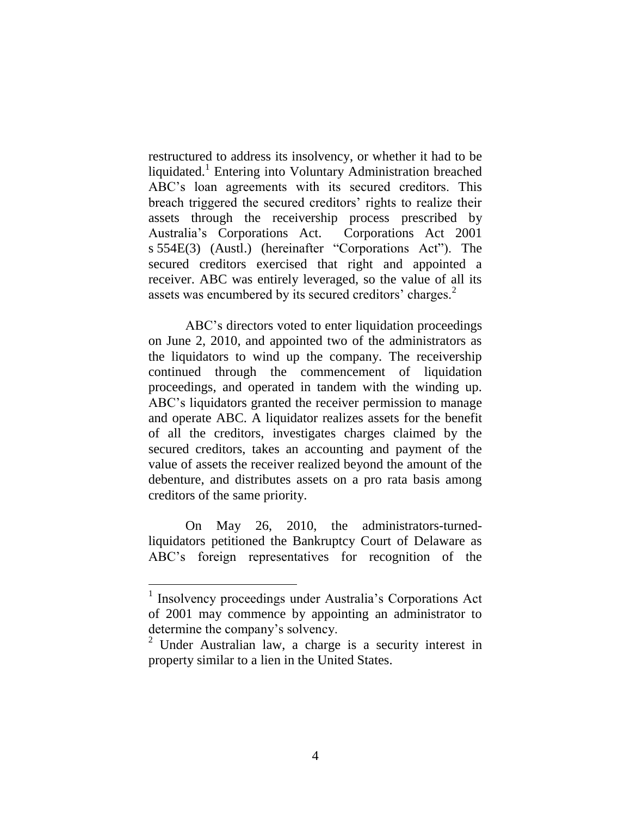restructured to address its insolvency, or whether it had to be liquidated.<sup>1</sup> Entering into Voluntary Administration breached ABC's loan agreements with its secured creditors. This breach triggered the secured creditors' rights to realize their assets through the receivership process prescribed by Australia's Corporations Act. Corporations Act 2001 s 554E(3) (Austl.) (hereinafter "Corporations Act"). The secured creditors exercised that right and appointed a receiver. ABC was entirely leveraged, so the value of all its assets was encumbered by its secured creditors' charges.<sup>2</sup>

ABC's directors voted to enter liquidation proceedings on June 2, 2010, and appointed two of the administrators as the liquidators to wind up the company. The receivership continued through the commencement of liquidation proceedings, and operated in tandem with the winding up. ABC's liquidators granted the receiver permission to manage and operate ABC. A liquidator realizes assets for the benefit of all the creditors, investigates charges claimed by the secured creditors, takes an accounting and payment of the value of assets the receiver realized beyond the amount of the debenture, and distributes assets on a pro rata basis among creditors of the same priority.

On May 26, 2010, the administrators-turnedliquidators petitioned the Bankruptcy Court of Delaware as ABC's foreign representatives for recognition of the

<sup>&</sup>lt;sup>1</sup> Insolvency proceedings under Australia's Corporations Act of 2001 may commence by appointing an administrator to determine the company's solvency.

<sup>2</sup> Under Australian law, a charge is a security interest in property similar to a lien in the United States.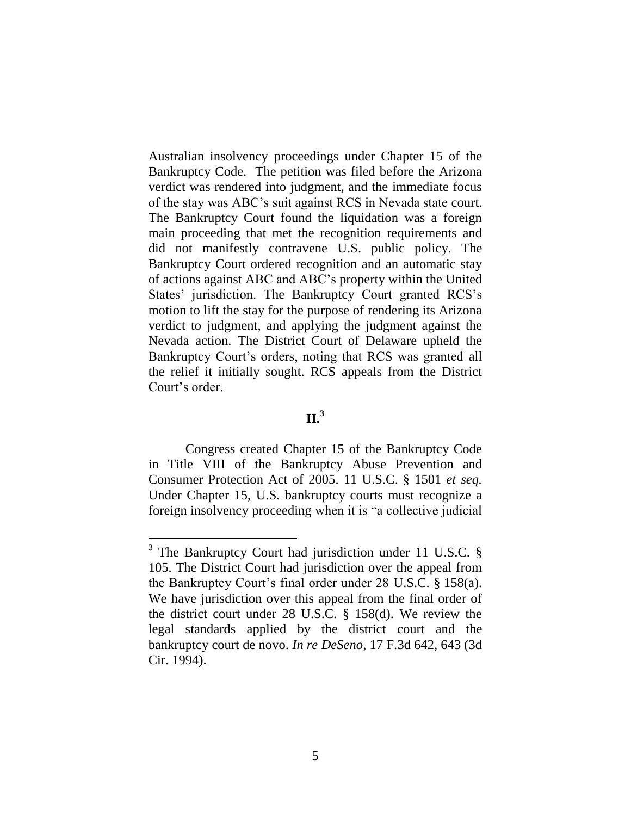Australian insolvency proceedings under Chapter 15 of the Bankruptcy Code. The petition was filed before the Arizona verdict was rendered into judgment, and the immediate focus of the stay was ABC's suit against RCS in Nevada state court. The Bankruptcy Court found the liquidation was a foreign main proceeding that met the recognition requirements and did not manifestly contravene U.S. public policy. The Bankruptcy Court ordered recognition and an automatic stay of actions against ABC and ABC's property within the United States' jurisdiction. The Bankruptcy Court granted RCS's motion to lift the stay for the purpose of rendering its Arizona verdict to judgment, and applying the judgment against the Nevada action. The District Court of Delaware upheld the Bankruptcy Court's orders, noting that RCS was granted all the relief it initially sought. RCS appeals from the District Court's order.

# **II. 3**

Congress created Chapter 15 of the Bankruptcy Code in Title VIII of the Bankruptcy Abuse Prevention and Consumer Protection Act of 2005. 11 U.S.C. § 1501 *et seq.* Under Chapter 15, U.S. bankruptcy courts must recognize a foreign insolvency proceeding when it is "a collective judicial

 $\overline{a}$ 

<sup>&</sup>lt;sup>3</sup> The Bankruptcy Court had jurisdiction under 11 U.S.C.  $\S$ 105. The District Court had jurisdiction over the appeal from the Bankruptcy Court's final order under 28 U.S.C. § 158(a). We have jurisdiction over this appeal from the final order of the district court under 28 U.S.C. § 158(d). We review the legal standards applied by the district court and the bankruptcy court de novo. *In re DeSeno*, 17 F.3d 642, 643 (3d Cir. 1994).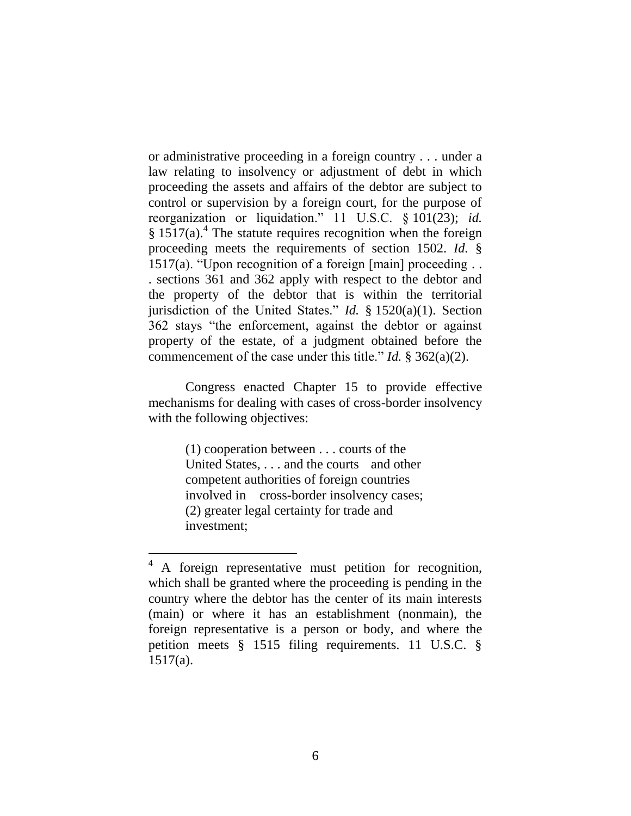or administrative proceeding in a foreign country . . . under a law relating to insolvency or adjustment of debt in which proceeding the assets and affairs of the debtor are subject to control or supervision by a foreign court, for the purpose of reorganization or liquidation." 11 U.S.C. § 101(23); *id.* § 1517(a).<sup>4</sup> The statute requires recognition when the foreign proceeding meets the requirements of section 1502. *Id.* § 1517(a). "Upon recognition of a foreign  $[main]$  proceeding ... . sections 361 and 362 apply with respect to the debtor and the property of the debtor that is within the territorial jurisdiction of the United States." *Id.* § 1520(a)(1). Section 362 stays "the enforcement, against the debtor or against property of the estate, of a judgment obtained before the commencement of the case under this title." *Id.* § 362(a)(2).

Congress enacted Chapter 15 to provide effective mechanisms for dealing with cases of cross-border insolvency with the following objectives:

> (1) cooperation between . . . courts of the United States, . . . and the courts and other competent authorities of foreign countries involved in cross-border insolvency cases; (2) greater legal certainty for trade and investment;

<sup>&</sup>lt;sup>4</sup> A foreign representative must petition for recognition, which shall be granted where the proceeding is pending in the country where the debtor has the center of its main interests (main) or where it has an establishment (nonmain), the foreign representative is a person or body, and where the petition meets § 1515 filing requirements. 11 U.S.C. § 1517(a).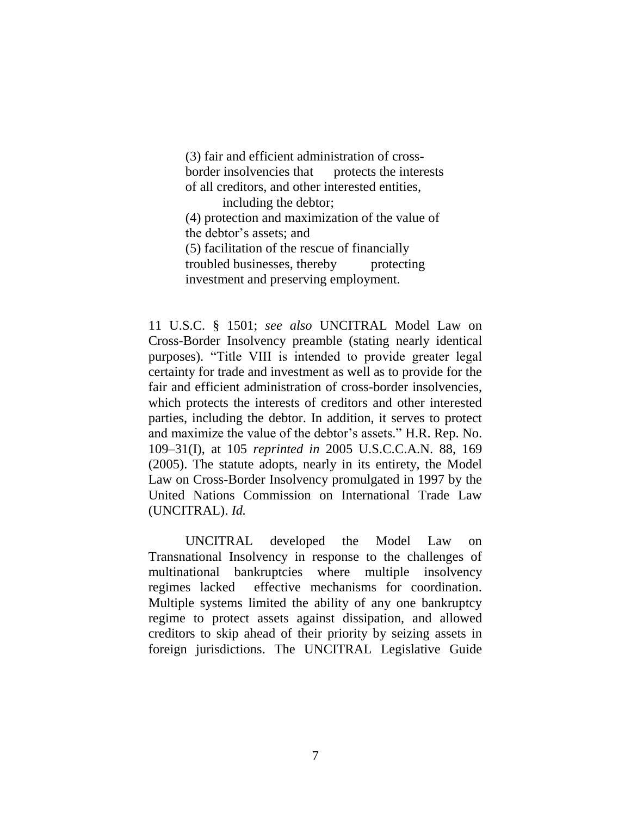(3) fair and efficient administration of crossborder insolvencies that protects the interests of all creditors, and other interested entities,

including the debtor; (4) protection and maximization of the value of the debtor's assets; and

(5) facilitation of the rescue of financially troubled businesses, thereby protecting

investment and preserving employment.

11 U.S.C. § 1501; *see also* UNCITRAL Model Law on Cross-Border Insolvency preamble (stating nearly identical purposes). "Title VIII is intended to provide greater legal certainty for trade and investment as well as to provide for the fair and efficient administration of cross-border insolvencies, which protects the interests of creditors and other interested parties, including the debtor. In addition, it serves to protect and maximize the value of the debtor's assets." H.R. Rep. No. 109–31(I), at 105 *reprinted in* 2005 U.S.C.C.A.N. 88, 169 (2005). The statute adopts, nearly in its entirety, the Model Law on Cross-Border Insolvency promulgated in 1997 by the United Nations Commission on International Trade Law (UNCITRAL). *Id.*

UNCITRAL developed the Model Law on Transnational Insolvency in response to the challenges of multinational bankruptcies where multiple insolvency regimes lacked effective mechanisms for coordination. Multiple systems limited the ability of any one bankruptcy regime to protect assets against dissipation, and allowed creditors to skip ahead of their priority by seizing assets in foreign jurisdictions. The UNCITRAL Legislative Guide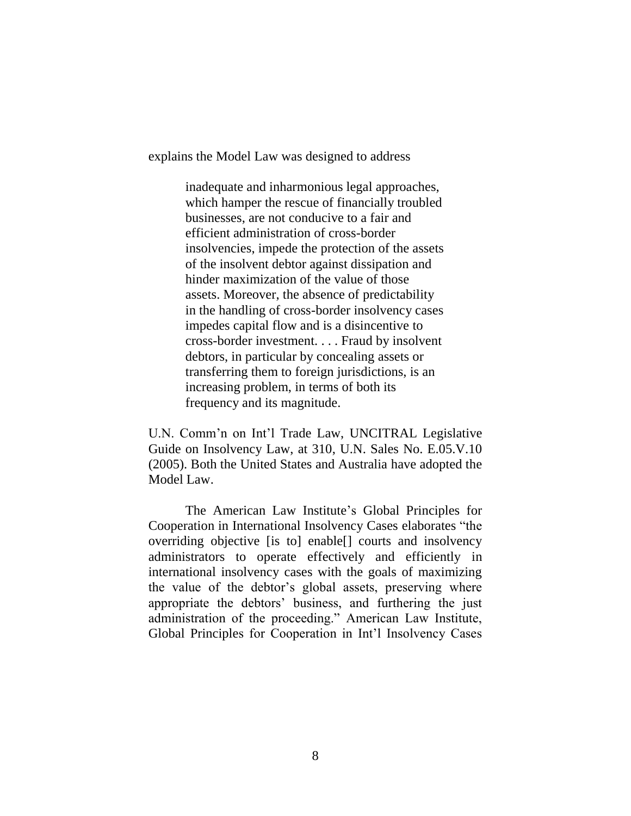explains the Model Law was designed to address

inadequate and inharmonious legal approaches, which hamper the rescue of financially troubled businesses, are not conducive to a fair and efficient administration of cross-border insolvencies, impede the protection of the assets of the insolvent debtor against dissipation and hinder maximization of the value of those assets. Moreover, the absence of predictability in the handling of cross-border insolvency cases impedes capital flow and is a disincentive to cross-border investment. . . . Fraud by insolvent debtors, in particular by concealing assets or transferring them to foreign jurisdictions, is an increasing problem, in terms of both its frequency and its magnitude.

U.N. Comm'n on Int'l Trade Law, UNCITRAL Legislative Guide on Insolvency Law, at 310, U.N. Sales No. E.05.V.10 (2005). Both the United States and Australia have adopted the Model Law.

The American Law Institute's Global Principles for Cooperation in International Insolvency Cases elaborates "the overriding objective [is to] enable[] courts and insolvency administrators to operate effectively and efficiently in international insolvency cases with the goals of maximizing the value of the debtor's global assets, preserving where appropriate the debtors' business, and furthering the just administration of the proceeding." American Law Institute, Global Principles for Cooperation in Int'l Insolvency Cases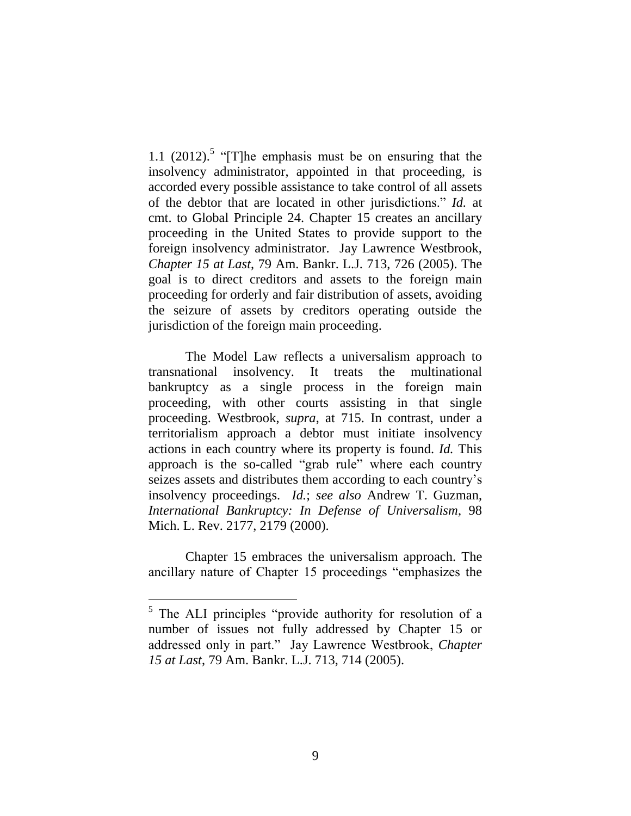1.1  $(2012)$ .<sup>5</sup> "[T]he emphasis must be on ensuring that the insolvency administrator, appointed in that proceeding, is accorded every possible assistance to take control of all assets of the debtor that are located in other jurisdictions." *Id.* at cmt. to Global Principle 24. Chapter 15 creates an ancillary proceeding in the United States to provide support to the foreign insolvency administrator. Jay Lawrence Westbrook, *Chapter 15 at Last*, 79 Am. Bankr. L.J. 713, 726 (2005). The goal is to direct creditors and assets to the foreign main proceeding for orderly and fair distribution of assets, avoiding the seizure of assets by creditors operating outside the jurisdiction of the foreign main proceeding.

The Model Law reflects a universalism approach to transnational insolvency. It treats the multinational bankruptcy as a single process in the foreign main proceeding, with other courts assisting in that single proceeding. Westbrook, *supra*, at 715. In contrast, under a territorialism approach a debtor must initiate insolvency actions in each country where its property is found. *Id.* This approach is the so-called "grab rule" where each country seizes assets and distributes them according to each country's insolvency proceedings. *Id.*; *see also* Andrew T. Guzman, *International Bankruptcy: In Defense of Universalism*, 98 Mich. L. Rev. 2177, 2179 (2000).

Chapter 15 embraces the universalism approach. The ancillary nature of Chapter 15 proceedings "emphasizes the

 $\overline{a}$ 

<sup>&</sup>lt;sup>5</sup> The ALI principles "provide authority for resolution of a number of issues not fully addressed by Chapter 15 or addressed only in part." Jay Lawrence Westbrook, *Chapter 15 at Last*, 79 Am. Bankr. L.J. 713, 714 (2005).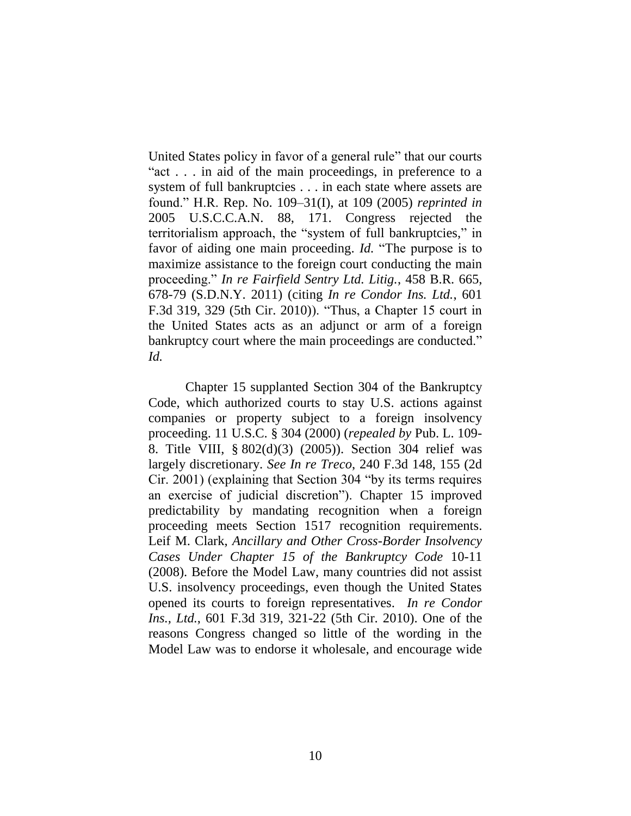United States policy in favor of a general rule" that our courts "act . . . in aid of the main proceedings, in preference to a system of full bankruptcies . . . in each state where assets are found." H.R. Rep. No. 109–31(I), at 109 (2005) *reprinted in* 2005 U.S.C.C.A.N. 88, 171. Congress rejected the territorialism approach, the "system of full bankruptcies," in favor of aiding one main proceeding. *Id.* "The purpose is to maximize assistance to the foreign court conducting the main proceeding." *In re Fairfield Sentry Ltd. Litig.*, 458 B.R. 665, 678-79 (S.D.N.Y. 2011) (citing *In re Condor Ins. Ltd.*, 601 F.3d 319, 329 (5th Cir. 2010)). "Thus, a Chapter 15 court in the United States acts as an adjunct or arm of a foreign bankruptcy court where the main proceedings are conducted." *Id.*

Chapter 15 supplanted Section 304 of the Bankruptcy Code, which authorized courts to stay U.S. actions against companies or property subject to a foreign insolvency proceeding. 11 U.S.C. § 304 (2000) (*repealed by* Pub. L. 109- 8. Title VIII, § 802(d)(3) (2005)). Section 304 relief was largely discretionary. *See In re Treco*, 240 F.3d 148, 155 (2d Cir. 2001) (explaining that Section 304 "by its terms requires an exercise of judicial discretion"). Chapter 15 improved predictability by mandating recognition when a foreign proceeding meets Section 1517 recognition requirements. Leif M. Clark, *Ancillary and Other Cross-Border Insolvency Cases Under Chapter 15 of the Bankruptcy Code* 10-11 (2008). Before the Model Law, many countries did not assist U.S. insolvency proceedings, even though the United States opened its courts to foreign representatives. *In re Condor Ins., Ltd.*, 601 F.3d 319, 321-22 (5th Cir. 2010). One of the reasons Congress changed so little of the wording in the Model Law was to endorse it wholesale, and encourage wide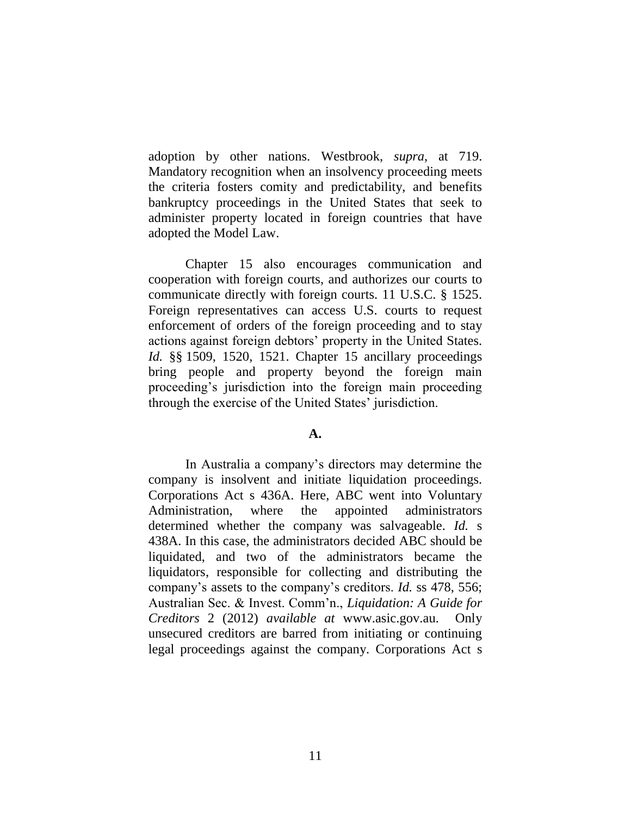adoption by other nations. Westbrook, *supra*, at 719. Mandatory recognition when an insolvency proceeding meets the criteria fosters comity and predictability, and benefits bankruptcy proceedings in the United States that seek to administer property located in foreign countries that have adopted the Model Law.

Chapter 15 also encourages communication and cooperation with foreign courts, and authorizes our courts to communicate directly with foreign courts. 11 U.S.C. § 1525. Foreign representatives can access U.S. courts to request enforcement of orders of the foreign proceeding and to stay actions against foreign debtors' property in the United States. *Id.* §§ 1509, 1520, 1521. Chapter 15 ancillary proceedings bring people and property beyond the foreign main proceeding's jurisdiction into the foreign main proceeding through the exercise of the United States' jurisdiction.

## **A.**

In Australia a company's directors may determine the company is insolvent and initiate liquidation proceedings. Corporations Act s 436A. Here, ABC went into Voluntary Administration, where the appointed administrators determined whether the company was salvageable. *Id.* s 438A. In this case, the administrators decided ABC should be liquidated, and two of the administrators became the liquidators, responsible for collecting and distributing the company's assets to the company's creditors. *Id.* ss 478, 556; Australian Sec. & Invest. Comm'n., *Liquidation: A Guide for Creditors* 2 (2012) *available at* www.asic.gov.au. Only unsecured creditors are barred from initiating or continuing legal proceedings against the company. Corporations Act s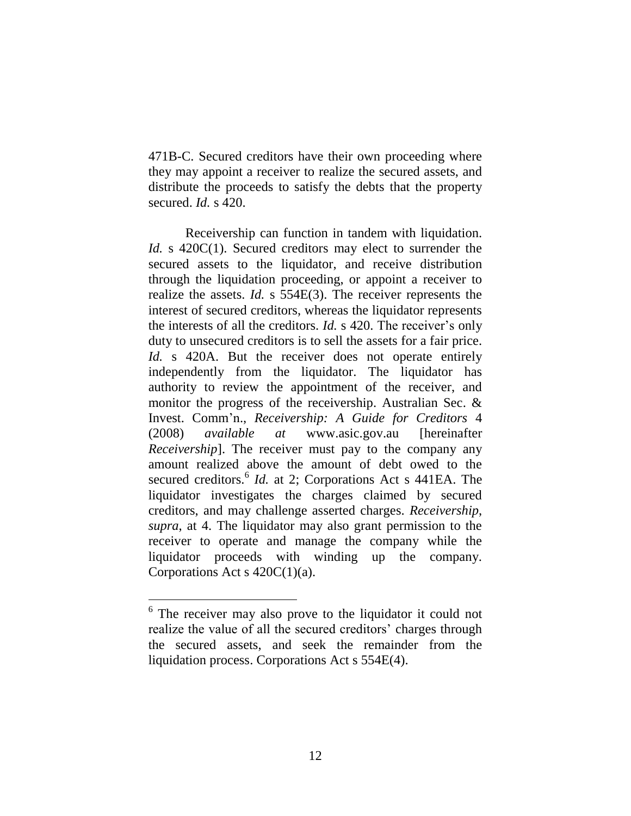471B-C. Secured creditors have their own proceeding where they may appoint a receiver to realize the secured assets, and distribute the proceeds to satisfy the debts that the property secured. *Id.* s 420.

Receivership can function in tandem with liquidation. *Id.* s 420C(1). Secured creditors may elect to surrender the secured assets to the liquidator, and receive distribution through the liquidation proceeding, or appoint a receiver to realize the assets. *Id.* s 554E(3). The receiver represents the interest of secured creditors, whereas the liquidator represents the interests of all the creditors. *Id.* s 420. The receiver's only duty to unsecured creditors is to sell the assets for a fair price. *Id.* s 420A. But the receiver does not operate entirely independently from the liquidator. The liquidator has authority to review the appointment of the receiver, and monitor the progress of the receivership. Australian Sec. & Invest. Comm'n., *Receivership: A Guide for Creditors* 4 (2008) *available at* www.asic.gov.au [hereinafter *Receivership*]. The receiver must pay to the company any amount realized above the amount of debt owed to the secured creditors.<sup>6</sup> *Id.* at 2; Corporations Act s 441EA. The liquidator investigates the charges claimed by secured creditors, and may challenge asserted charges. *Receivership*, *supra*, at 4. The liquidator may also grant permission to the receiver to operate and manage the company while the liquidator proceeds with winding up the company. Corporations Act s  $420C(1)(a)$ .

 $\overline{a}$ 

<sup>&</sup>lt;sup>6</sup> The receiver may also prove to the liquidator it could not realize the value of all the secured creditors' charges through the secured assets, and seek the remainder from the liquidation process. Corporations Act s 554E(4).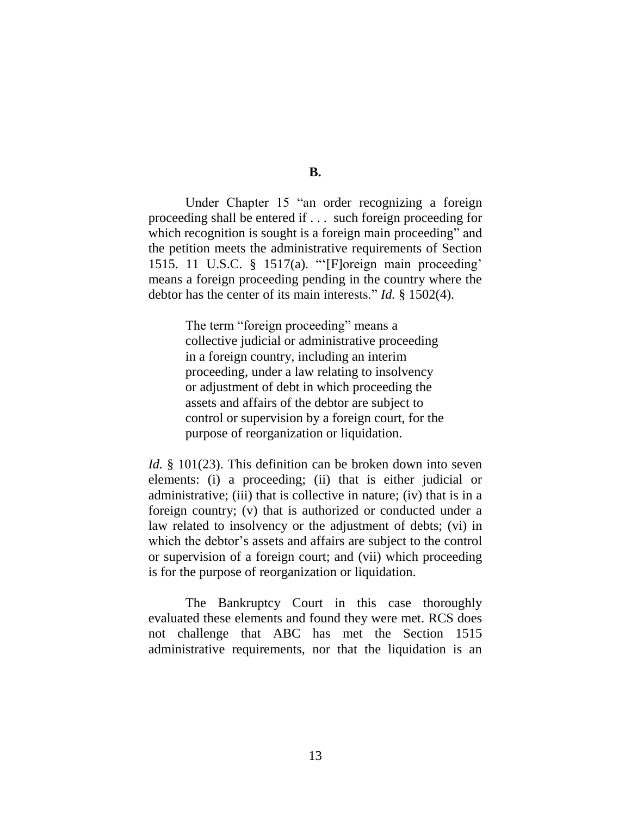**B.**

Under Chapter 15 "an order recognizing a foreign proceeding shall be entered if . . . such foreign proceeding for which recognition is sought is a foreign main proceeding" and the petition meets the administrative requirements of Section 1515. 11 U.S.C. § 1517(a). "'[F]oreign main proceeding' means a foreign proceeding pending in the country where the debtor has the center of its main interests." *Id.* § 1502(4).

> The term "foreign proceeding" means a collective judicial or administrative proceeding in a foreign country, including an interim proceeding, under a law relating to insolvency or adjustment of debt in which proceeding the assets and affairs of the debtor are subject to control or supervision by a foreign court, for the purpose of reorganization or liquidation.

*Id.* § 101(23). This definition can be broken down into seven elements: (i) a proceeding; (ii) that is either judicial or administrative; (iii) that is collective in nature; (iv) that is in a foreign country; (v) that is authorized or conducted under a law related to insolvency or the adjustment of debts; (vi) in which the debtor's assets and affairs are subject to the control or supervision of a foreign court; and (vii) which proceeding is for the purpose of reorganization or liquidation.

The Bankruptcy Court in this case thoroughly evaluated these elements and found they were met. RCS does not challenge that ABC has met the Section 1515 administrative requirements, nor that the liquidation is an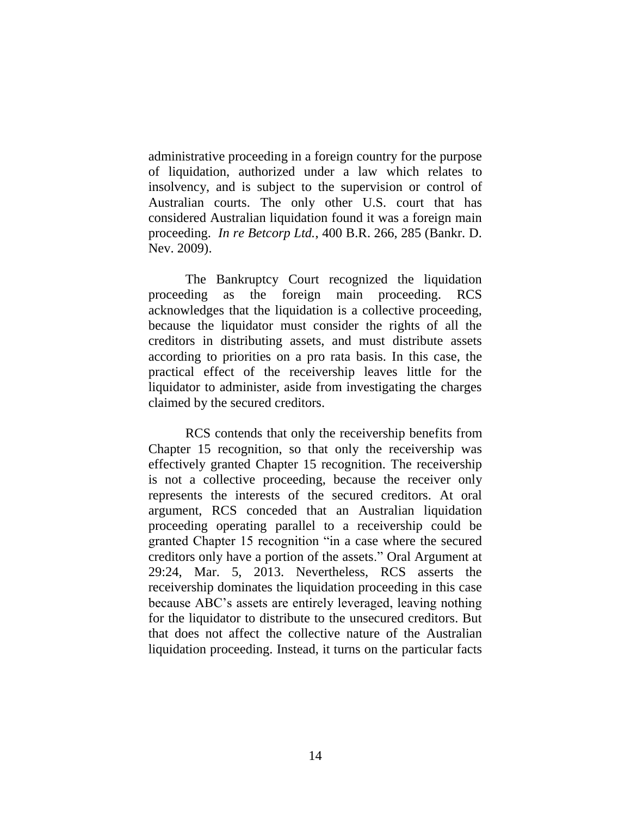administrative proceeding in a foreign country for the purpose of liquidation, authorized under a law which relates to insolvency, and is subject to the supervision or control of Australian courts. The only other U.S. court that has considered Australian liquidation found it was a foreign main proceeding. *In re Betcorp Ltd.*, 400 B.R. 266, 285 (Bankr. D. Nev. 2009).

The Bankruptcy Court recognized the liquidation proceeding as the foreign main proceeding. RCS acknowledges that the liquidation is a collective proceeding, because the liquidator must consider the rights of all the creditors in distributing assets, and must distribute assets according to priorities on a pro rata basis. In this case, the practical effect of the receivership leaves little for the liquidator to administer, aside from investigating the charges claimed by the secured creditors.

RCS contends that only the receivership benefits from Chapter 15 recognition, so that only the receivership was effectively granted Chapter 15 recognition. The receivership is not a collective proceeding, because the receiver only represents the interests of the secured creditors. At oral argument, RCS conceded that an Australian liquidation proceeding operating parallel to a receivership could be granted Chapter 15 recognition "in a case where the secured creditors only have a portion of the assets." Oral Argument at 29:24, Mar. 5, 2013. Nevertheless, RCS asserts the receivership dominates the liquidation proceeding in this case because ABC's assets are entirely leveraged, leaving nothing for the liquidator to distribute to the unsecured creditors. But that does not affect the collective nature of the Australian liquidation proceeding. Instead, it turns on the particular facts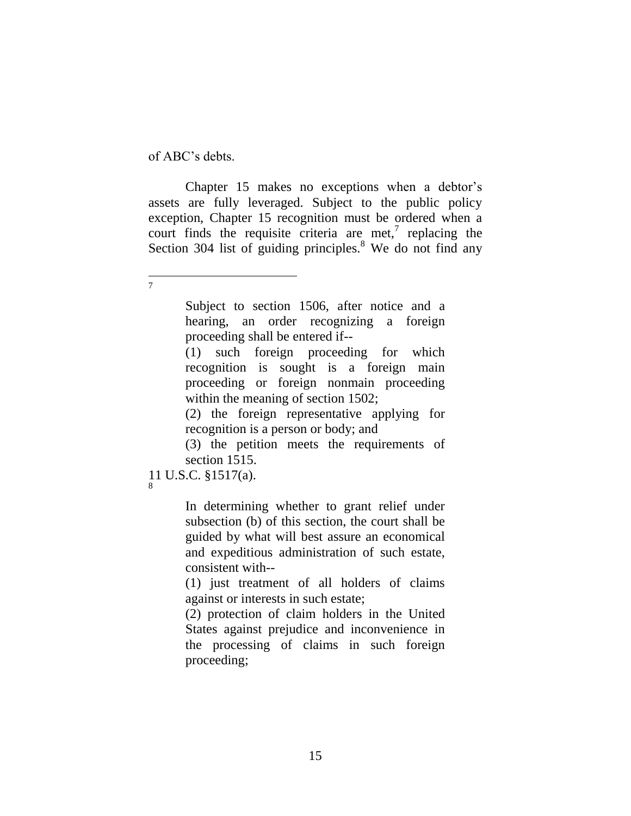of ABC's debts.

Chapter 15 makes no exceptions when a debtor's assets are fully leveraged. Subject to the public policy exception, Chapter 15 recognition must be ordered when a court finds the requisite criteria are met,<sup>7</sup> replacing the Section 304 list of guiding principles.<sup>8</sup> We do not find any

 $\overline{a}$ 7

> Subject to section 1506, after notice and a hearing, an order recognizing a foreign proceeding shall be entered if--

> (1) such foreign proceeding for which recognition is sought is a foreign main proceeding or foreign nonmain proceeding within the meaning of section 1502;

> (2) the foreign representative applying for recognition is a person or body; and

> (3) the petition meets the requirements of section 1515.

11 U.S.C. §1517(a). 8

> In determining whether to grant relief under subsection (b) of this section, the court shall be guided by what will best assure an economical and expeditious administration of such estate, consistent with--

> (1) just treatment of all holders of claims against or interests in such estate;

> (2) protection of claim holders in the United States against prejudice and inconvenience in the processing of claims in such foreign proceeding;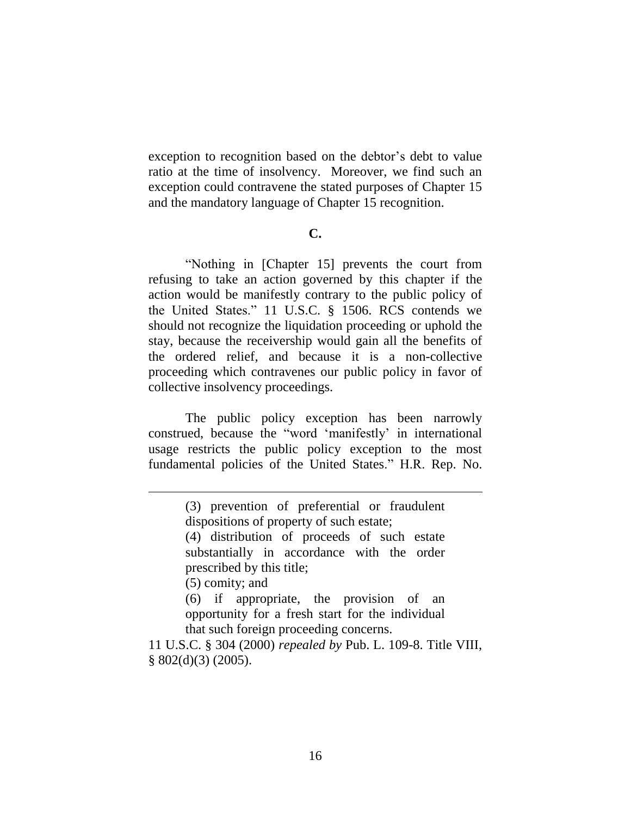exception to recognition based on the debtor's debt to value ratio at the time of insolvency. Moreover, we find such an exception could contravene the stated purposes of Chapter 15 and the mandatory language of Chapter 15 recognition.

## **C.**

"Nothing in [Chapter 15] prevents the court from refusing to take an action governed by this chapter if the action would be manifestly contrary to the public policy of the United States." 11 U.S.C. § 1506. RCS contends we should not recognize the liquidation proceeding or uphold the stay, because the receivership would gain all the benefits of the ordered relief, and because it is a non-collective proceeding which contravenes our public policy in favor of collective insolvency proceedings.

The public policy exception has been narrowly construed, because the "word 'manifestly' in international usage restricts the public policy exception to the most fundamental policies of the United States." H.R. Rep. No.

 $\overline{a}$ 

(6) if appropriate, the provision of an opportunity for a fresh start for the individual that such foreign proceeding concerns.

11 U.S.C. § 304 (2000) *repealed by* Pub. L. 109-8. Title VIII,  $§ 802(d)(3) (2005).$ 

<sup>(3)</sup> prevention of preferential or fraudulent dispositions of property of such estate;

<sup>(4)</sup> distribution of proceeds of such estate substantially in accordance with the order prescribed by this title;

<sup>(5)</sup> comity; and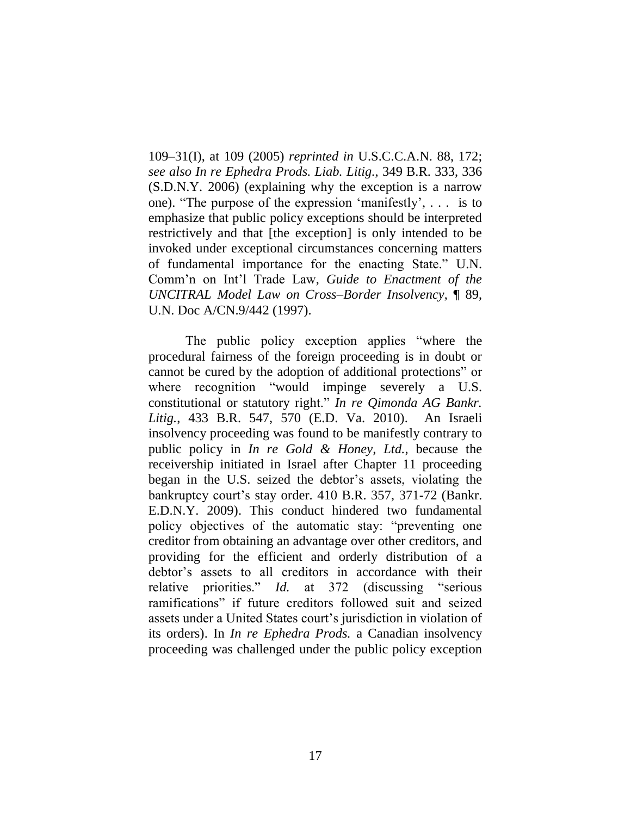109–31(I), at 109 (2005) *reprinted in* U.S.C.C.A.N. 88, 172; *see also In re Ephedra Prods. Liab. Litig.*, 349 B.R. 333, 336 (S.D.N.Y. 2006) (explaining why the exception is a narrow one). "The purpose of the expression 'manifestly', . . . is to emphasize that public policy exceptions should be interpreted restrictively and that [the exception] is only intended to be invoked under exceptional circumstances concerning matters of fundamental importance for the enacting State." U.N. Comm'n on Int'l Trade Law, *Guide to Enactment of the UNCITRAL Model Law on Cross–Border Insolvency*, ¶ 89, U.N. Doc A/CN.9/442 (1997).

The public policy exception applies "where the procedural fairness of the foreign proceeding is in doubt or cannot be cured by the adoption of additional protections" or where recognition "would impinge severely a U.S. constitutional or statutory right." *In re Qimonda AG Bankr. Litig.*, 433 B.R. 547, 570 (E.D. Va. 2010). An Israeli insolvency proceeding was found to be manifestly contrary to public policy in *In re Gold & Honey, Ltd.*, because the receivership initiated in Israel after Chapter 11 proceeding began in the U.S. seized the debtor's assets, violating the bankruptcy court's stay order. 410 B.R. 357, 371-72 (Bankr. E.D.N.Y. 2009). This conduct hindered two fundamental policy objectives of the automatic stay: "preventing one creditor from obtaining an advantage over other creditors, and providing for the efficient and orderly distribution of a debtor's assets to all creditors in accordance with their relative priorities." *Id.* at 372 (discussing "serious ramifications" if future creditors followed suit and seized assets under a United States court's jurisdiction in violation of its orders). In *In re Ephedra Prods.* a Canadian insolvency proceeding was challenged under the public policy exception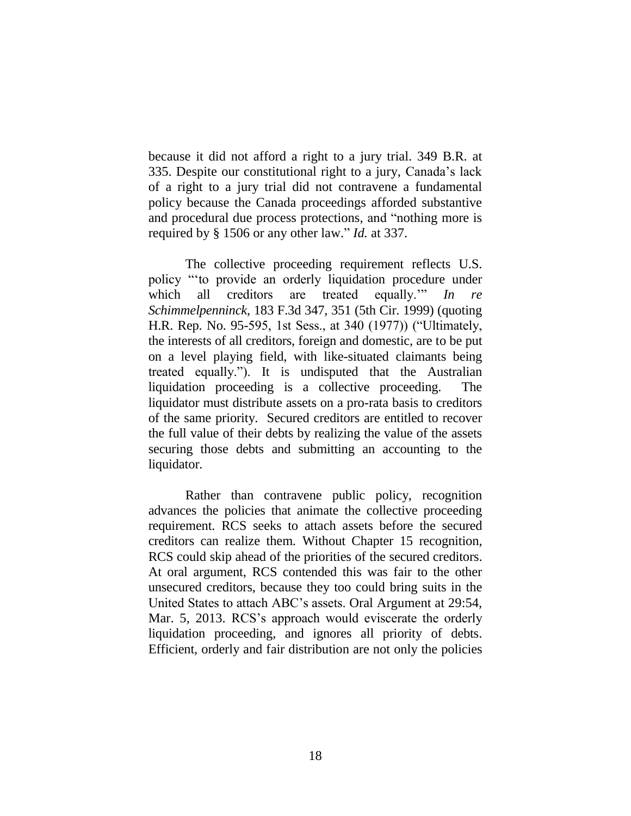because it did not afford a right to a jury trial. 349 B.R. at 335. Despite our constitutional right to a jury, Canada's lack of a right to a jury trial did not contravene a fundamental policy because the Canada proceedings afforded substantive and procedural due process protections, and "nothing more is required by § 1506 or any other law." *Id.* at 337.

The collective proceeding requirement reflects U.S. policy "'to provide an orderly liquidation procedure under which all creditors are treated equally.'" *In re Schimmelpenninck*, 183 F.3d 347, 351 (5th Cir. 1999) (quoting H.R. Rep. No. 95-595, 1st Sess., at 340 (1977)) ("Ultimately, the interests of all creditors, foreign and domestic, are to be put on a level playing field, with like-situated claimants being treated equally."). It is undisputed that the Australian liquidation proceeding is a collective proceeding. The liquidator must distribute assets on a pro-rata basis to creditors of the same priority. Secured creditors are entitled to recover the full value of their debts by realizing the value of the assets securing those debts and submitting an accounting to the liquidator.

Rather than contravene public policy, recognition advances the policies that animate the collective proceeding requirement. RCS seeks to attach assets before the secured creditors can realize them. Without Chapter 15 recognition, RCS could skip ahead of the priorities of the secured creditors. At oral argument, RCS contended this was fair to the other unsecured creditors, because they too could bring suits in the United States to attach ABC's assets. Oral Argument at 29:54, Mar. 5, 2013. RCS's approach would eviscerate the orderly liquidation proceeding, and ignores all priority of debts. Efficient, orderly and fair distribution are not only the policies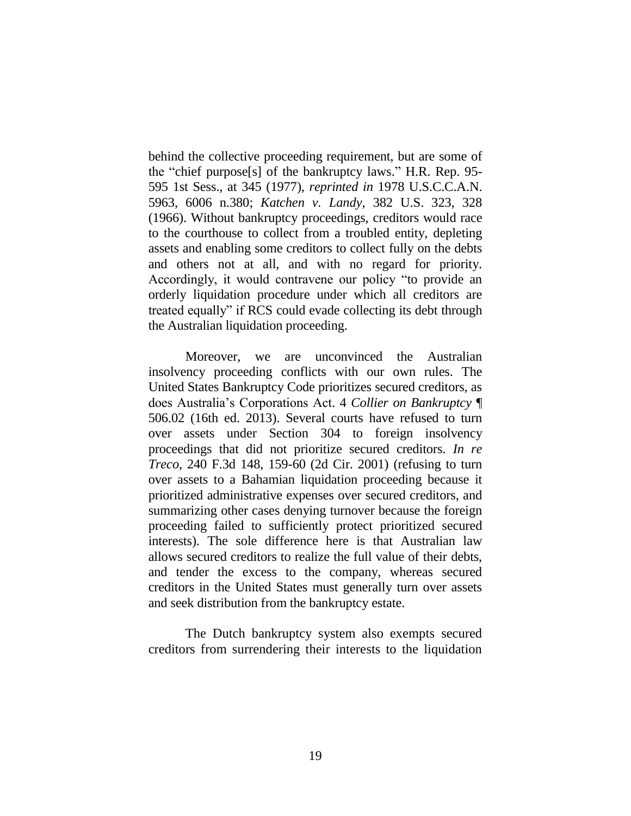behind the collective proceeding requirement, but are some of the "chief purpose[s] of the bankruptcy laws." H.R. Rep. 95- 595 1st Sess., at 345 (1977), *reprinted in* 1978 U.S.C.C.A.N. 5963, 6006 n.380; *Katchen v. Landy*, 382 U.S. 323, 328 (1966). Without bankruptcy proceedings, creditors would race to the courthouse to collect from a troubled entity, depleting assets and enabling some creditors to collect fully on the debts and others not at all, and with no regard for priority. Accordingly, it would contravene our policy "to provide an orderly liquidation procedure under which all creditors are treated equally" if RCS could evade collecting its debt through the Australian liquidation proceeding.

Moreover, we are unconvinced the Australian insolvency proceeding conflicts with our own rules. The United States Bankruptcy Code prioritizes secured creditors, as does Australia's Corporations Act. 4 *Collier on Bankruptcy* ¶ 506.02 (16th ed. 2013). Several courts have refused to turn over assets under Section 304 to foreign insolvency proceedings that did not prioritize secured creditors. *In re Treco*, 240 F.3d 148, 159-60 (2d Cir. 2001) (refusing to turn over assets to a Bahamian liquidation proceeding because it prioritized administrative expenses over secured creditors, and summarizing other cases denying turnover because the foreign proceeding failed to sufficiently protect prioritized secured interests). The sole difference here is that Australian law allows secured creditors to realize the full value of their debts, and tender the excess to the company, whereas secured creditors in the United States must generally turn over assets and seek distribution from the bankruptcy estate.

The Dutch bankruptcy system also exempts secured creditors from surrendering their interests to the liquidation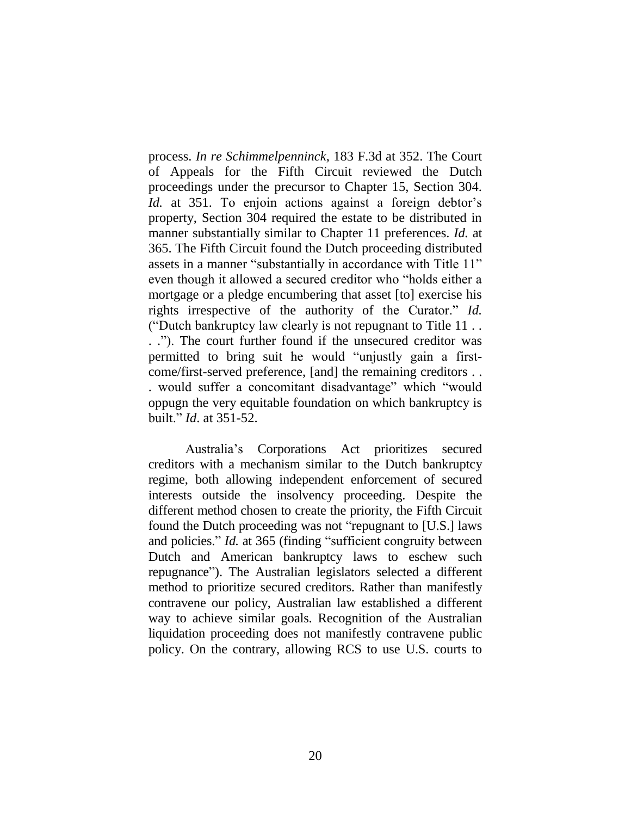process. *In re Schimmelpenninck*, 183 F.3d at 352. The Court of Appeals for the Fifth Circuit reviewed the Dutch proceedings under the precursor to Chapter 15, Section 304. *Id.* at 351. To enjoin actions against a foreign debtor's property, Section 304 required the estate to be distributed in manner substantially similar to Chapter 11 preferences. *Id.* at 365. The Fifth Circuit found the Dutch proceeding distributed assets in a manner "substantially in accordance with Title 11" even though it allowed a secured creditor who "holds either a mortgage or a pledge encumbering that asset [to] exercise his rights irrespective of the authority of the Curator." *Id.* ("Dutch bankruptcy law clearly is not repugnant to Title 11 . . . ."). The court further found if the unsecured creditor was permitted to bring suit he would "unjustly gain a firstcome/first-served preference, [and] the remaining creditors . . . would suffer a concomitant disadvantage" which "would oppugn the very equitable foundation on which bankruptcy is built." *Id*. at 351-52.

Australia's Corporations Act prioritizes secured creditors with a mechanism similar to the Dutch bankruptcy regime, both allowing independent enforcement of secured interests outside the insolvency proceeding. Despite the different method chosen to create the priority, the Fifth Circuit found the Dutch proceeding was not "repugnant to [U.S.] laws and policies." *Id.* at 365 (finding "sufficient congruity between Dutch and American bankruptcy laws to eschew such repugnance"). The Australian legislators selected a different method to prioritize secured creditors. Rather than manifestly contravene our policy, Australian law established a different way to achieve similar goals. Recognition of the Australian liquidation proceeding does not manifestly contravene public policy. On the contrary, allowing RCS to use U.S. courts to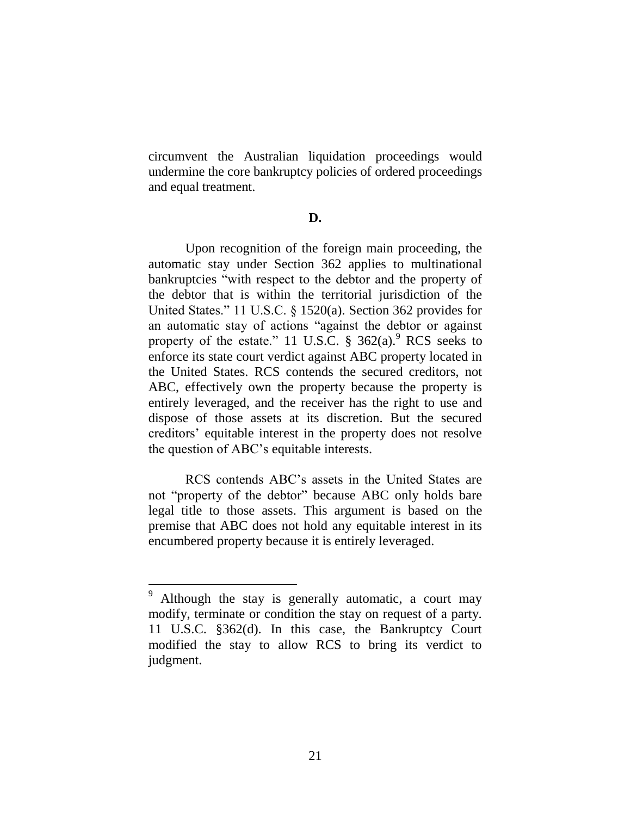circumvent the Australian liquidation proceedings would undermine the core bankruptcy policies of ordered proceedings and equal treatment.

#### **D.**

Upon recognition of the foreign main proceeding, the automatic stay under Section 362 applies to multinational bankruptcies "with respect to the debtor and the property of the debtor that is within the territorial jurisdiction of the United States." 11 U.S.C. § 1520(a). Section 362 provides for an automatic stay of actions "against the debtor or against property of the estate." 11 U.S.C.  $\frac{8}{9}$  362(a). RCS seeks to enforce its state court verdict against ABC property located in the United States. RCS contends the secured creditors, not ABC, effectively own the property because the property is entirely leveraged, and the receiver has the right to use and dispose of those assets at its discretion. But the secured creditors' equitable interest in the property does not resolve the question of ABC's equitable interests.

RCS contends ABC's assets in the United States are not "property of the debtor" because ABC only holds bare legal title to those assets. This argument is based on the premise that ABC does not hold any equitable interest in its encumbered property because it is entirely leveraged.

Although the stay is generally automatic, a court may modify, terminate or condition the stay on request of a party. 11 U.S.C. §362(d). In this case, the Bankruptcy Court modified the stay to allow RCS to bring its verdict to judgment.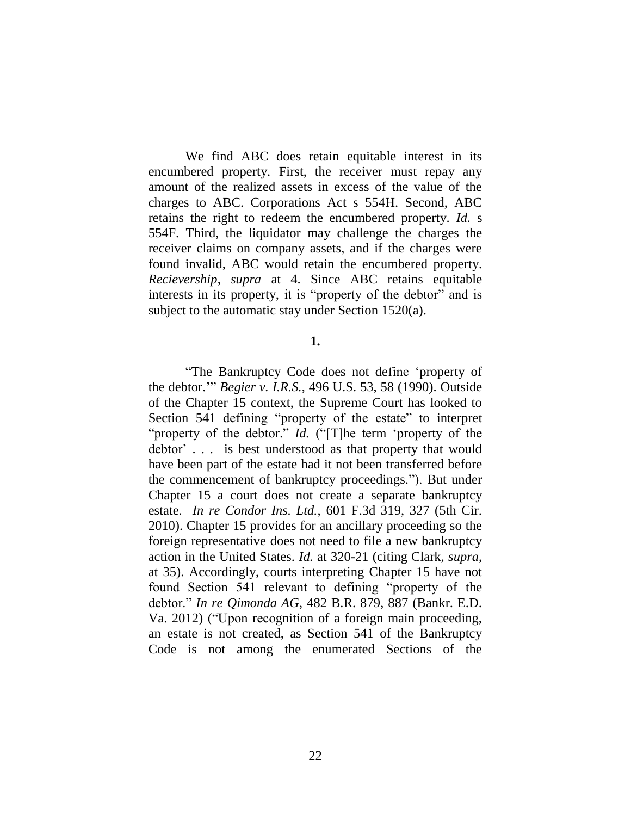We find ABC does retain equitable interest in its encumbered property. First, the receiver must repay any amount of the realized assets in excess of the value of the charges to ABC. Corporations Act s 554H. Second, ABC retains the right to redeem the encumbered property. *Id.* s 554F. Third, the liquidator may challenge the charges the receiver claims on company assets, and if the charges were found invalid, ABC would retain the encumbered property. *Recievership*, *supra* at 4. Since ABC retains equitable interests in its property, it is "property of the debtor" and is subject to the automatic stay under Section 1520(a).

## **1.**

"The Bankruptcy Code does not define 'property of the debtor.'" *Begier v. I.R.S.*, 496 U.S. 53, 58 (1990). Outside of the Chapter 15 context, the Supreme Court has looked to Section 541 defining "property of the estate" to interpret "property of the debtor." *Id.* ("[T]he term 'property of the debtor' . . . is best understood as that property that would have been part of the estate had it not been transferred before the commencement of bankruptcy proceedings."). But under Chapter 15 a court does not create a separate bankruptcy estate. *In re Condor Ins. Ltd.*, 601 F.3d 319, 327 (5th Cir. 2010). Chapter 15 provides for an ancillary proceeding so the foreign representative does not need to file a new bankruptcy action in the United States. *Id.* at 320-21 (citing Clark, *supra*, at 35). Accordingly, courts interpreting Chapter 15 have not found Section 541 relevant to defining "property of the debtor." *In re Qimonda AG*, 482 B.R. 879, 887 (Bankr. E.D. Va. 2012) ("Upon recognition of a foreign main proceeding, an estate is not created, as Section 541 of the Bankruptcy Code is not among the enumerated Sections of the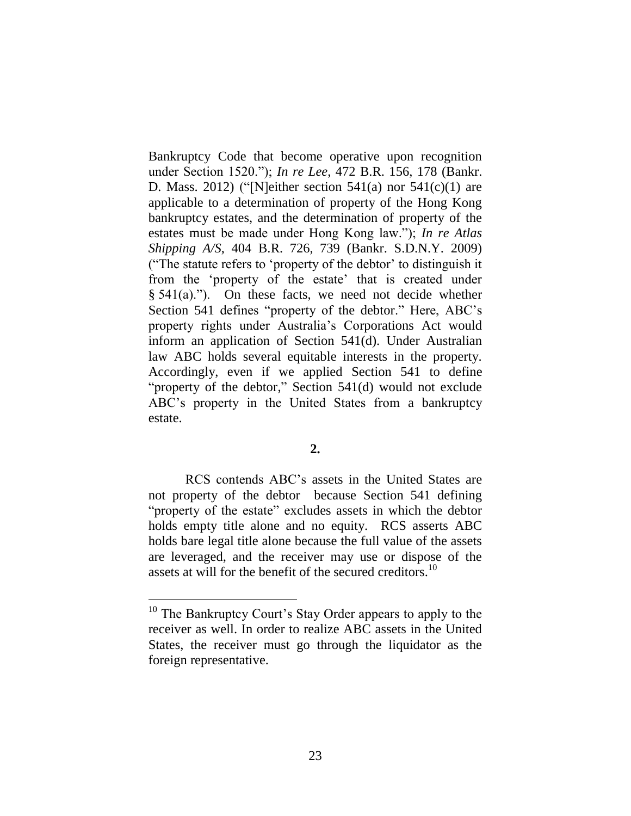Bankruptcy Code that become operative upon recognition under Section 1520."); *In re Lee*, 472 B.R. 156, 178 (Bankr. D. Mass. 2012) ("[N]either section  $541(a)$  nor  $541(c)(1)$  are applicable to a determination of property of the Hong Kong bankruptcy estates, and the determination of property of the estates must be made under Hong Kong law."); *In re Atlas Shipping A/S*, 404 B.R. 726, 739 (Bankr. S.D.N.Y. 2009) ("The statute refers to 'property of the debtor' to distinguish it from the 'property of the estate' that is created under  $§ 541(a).$ "). On these facts, we need not decide whether Section 541 defines "property of the debtor." Here, ABC's property rights under Australia's Corporations Act would inform an application of Section 541(d). Under Australian law ABC holds several equitable interests in the property. Accordingly, even if we applied Section 541 to define "property of the debtor," Section 541(d) would not exclude ABC's property in the United States from a bankruptcy estate.

RCS contends ABC's assets in the United States are not property of the debtor because Section 541 defining "property of the estate" excludes assets in which the debtor holds empty title alone and no equity. RCS asserts ABC holds bare legal title alone because the full value of the assets are leveraged, and the receiver may use or dispose of the assets at will for the benefit of the secured creditors.<sup>10</sup>

 $\overline{a}$ 

<sup>&</sup>lt;sup>10</sup> The Bankruptcy Court's Stay Order appears to apply to the receiver as well. In order to realize ABC assets in the United States, the receiver must go through the liquidator as the foreign representative.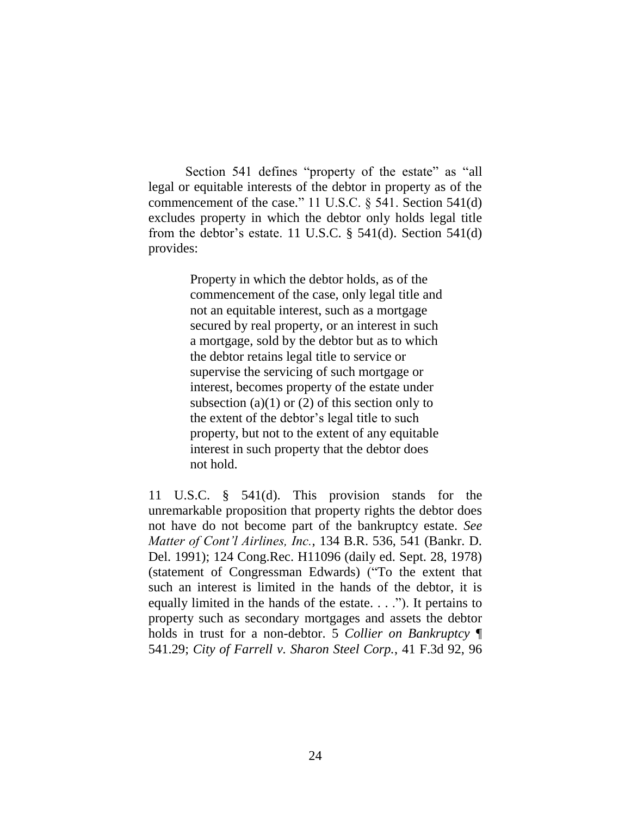Section 541 defines "property of the estate" as "all legal or equitable interests of the debtor in property as of the commencement of the case." 11 U.S.C. § 541. Section 541(d) excludes property in which the debtor only holds legal title from the debtor's estate. 11 U.S.C.  $\S$  541(d). Section 541(d) provides:

> Property in which the debtor holds, as of the commencement of the case, only legal title and not an equitable interest, such as a mortgage secured by real property, or an interest in such a mortgage, sold by the debtor but as to which the debtor retains legal title to service or supervise the servicing of such mortgage or interest, becomes property of the estate under subsection (a)(1) or (2) of this section only to the extent of the debtor's legal title to such property, but not to the extent of any equitable interest in such property that the debtor does not hold.

11 U.S.C. § 541(d). This provision stands for the unremarkable proposition that property rights the debtor does not have do not become part of the bankruptcy estate. *See Matter of Cont'l Airlines, Inc.*, 134 B.R. 536, 541 (Bankr. D. Del. 1991); 124 Cong.Rec. H11096 (daily ed. Sept. 28, 1978) (statement of Congressman Edwards) ("To the extent that such an interest is limited in the hands of the debtor, it is equally limited in the hands of the estate. . . ."). It pertains to property such as secondary mortgages and assets the debtor holds in trust for a non-debtor. 5 *Collier on Bankruptcy* ¶ 541.29; *City of Farrell v. Sharon Steel Corp.*, 41 F.3d 92, 96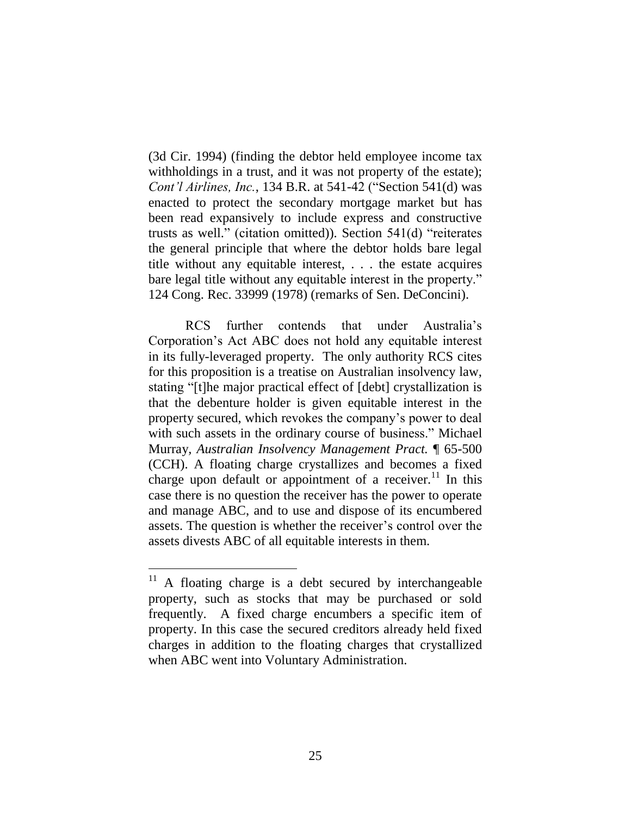(3d Cir. 1994) (finding the debtor held employee income tax withholdings in a trust, and it was not property of the estate); *Cont'l Airlines, Inc.*, 134 B.R. at 541-42 ("Section 541(d) was enacted to protect the secondary mortgage market but has been read expansively to include express and constructive trusts as well." (citation omitted)). Section 541(d) "reiterates the general principle that where the debtor holds bare legal title without any equitable interest, . . . the estate acquires bare legal title without any equitable interest in the property." 124 Cong. Rec. 33999 (1978) (remarks of Sen. DeConcini).

RCS further contends that under Australia's Corporation's Act ABC does not hold any equitable interest in its fully-leveraged property. The only authority RCS cites for this proposition is a treatise on Australian insolvency law, stating "[t]he major practical effect of [debt] crystallization is that the debenture holder is given equitable interest in the property secured, which revokes the company's power to deal with such assets in the ordinary course of business." Michael Murray*, Australian Insolvency Management Pract.* ¶ 65-500 (CCH). A floating charge crystallizes and becomes a fixed charge upon default or appointment of a receiver.<sup>11</sup> In this case there is no question the receiver has the power to operate and manage ABC, and to use and dispose of its encumbered assets. The question is whether the receiver's control over the assets divests ABC of all equitable interests in them.

A floating charge is a debt secured by interchangeable property, such as stocks that may be purchased or sold frequently. A fixed charge encumbers a specific item of property. In this case the secured creditors already held fixed charges in addition to the floating charges that crystallized when ABC went into Voluntary Administration.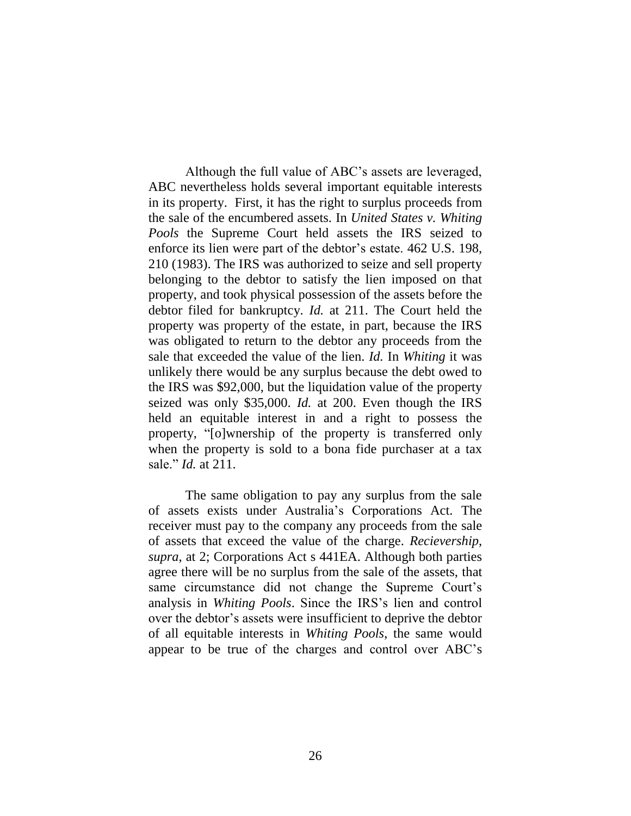Although the full value of ABC's assets are leveraged, ABC nevertheless holds several important equitable interests in its property. First, it has the right to surplus proceeds from the sale of the encumbered assets. In *United States v. Whiting Pools* the Supreme Court held assets the IRS seized to enforce its lien were part of the debtor's estate. 462 U.S. 198, 210 (1983). The IRS was authorized to seize and sell property belonging to the debtor to satisfy the lien imposed on that property, and took physical possession of the assets before the debtor filed for bankruptcy. *Id.* at 211. The Court held the property was property of the estate, in part, because the IRS was obligated to return to the debtor any proceeds from the sale that exceeded the value of the lien. *Id.* In *Whiting* it was unlikely there would be any surplus because the debt owed to the IRS was \$92,000, but the liquidation value of the property seized was only \$35,000. *Id.* at 200. Even though the IRS held an equitable interest in and a right to possess the property, "[o]wnership of the property is transferred only when the property is sold to a bona fide purchaser at a tax sale." *Id.* at 211.

The same obligation to pay any surplus from the sale of assets exists under Australia's Corporations Act. The receiver must pay to the company any proceeds from the sale of assets that exceed the value of the charge. *Recievership*, *supra*, at 2; Corporations Act s 441EA. Although both parties agree there will be no surplus from the sale of the assets, that same circumstance did not change the Supreme Court's analysis in *Whiting Pools*. Since the IRS's lien and control over the debtor's assets were insufficient to deprive the debtor of all equitable interests in *Whiting Pools*, the same would appear to be true of the charges and control over ABC's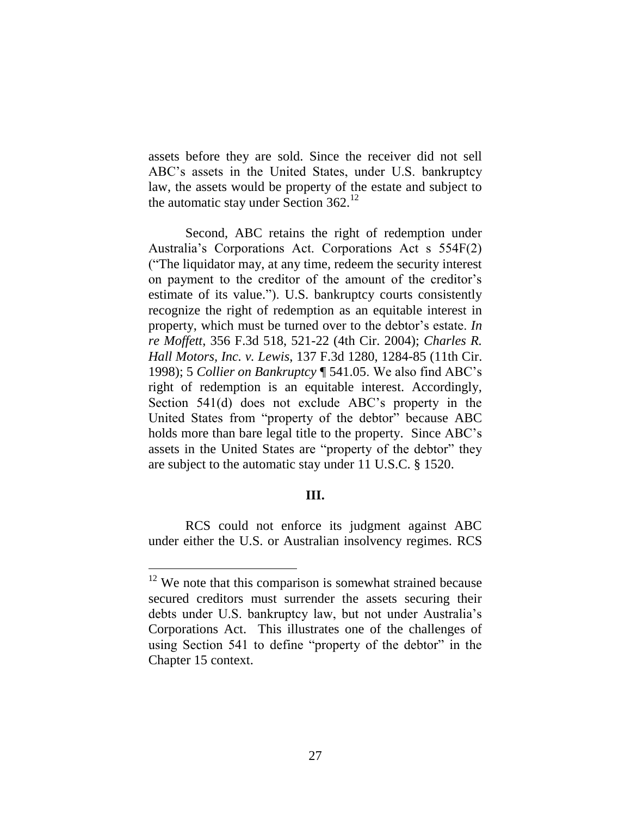assets before they are sold. Since the receiver did not sell ABC's assets in the United States, under U.S. bankruptcy law, the assets would be property of the estate and subject to the automatic stay under Section  $362<sup>12</sup>$ 

Second, ABC retains the right of redemption under Australia's Corporations Act. Corporations Act s 554F(2) ("The liquidator may, at any time, redeem the security interest on payment to the creditor of the amount of the creditor's estimate of its value."). U.S. bankruptcy courts consistently recognize the right of redemption as an equitable interest in property, which must be turned over to the debtor's estate. *In re Moffett*, 356 F.3d 518, 521-22 (4th Cir. 2004); *Charles R. Hall Motors, Inc. v. Lewis*, 137 F.3d 1280, 1284-85 (11th Cir. 1998); 5 *Collier on Bankruptcy* ¶ 541.05. We also find ABC's right of redemption is an equitable interest. Accordingly, Section 541(d) does not exclude ABC's property in the United States from "property of the debtor" because ABC holds more than bare legal title to the property. Since ABC's assets in the United States are "property of the debtor" they are subject to the automatic stay under 11 U.S.C. § 1520.

# **III.**

RCS could not enforce its judgment against ABC under either the U.S. or Australian insolvency regimes. RCS

 $12$  We note that this comparison is somewhat strained because secured creditors must surrender the assets securing their debts under U.S. bankruptcy law, but not under Australia's Corporations Act. This illustrates one of the challenges of using Section 541 to define "property of the debtor" in the Chapter 15 context.